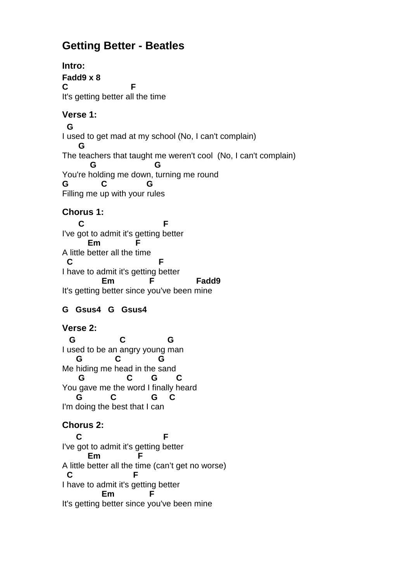# **Getting Better - Beatles**

**Intro: Fadd9 x 8 C F**  It's getting better all the time **Verse 1: G**  I used to get mad at my school (No, I can't complain)  **G**  The teachers that taught me weren't cool (No, I can't complain)  **G G**  You're holding me down, turning me round **G C G**  Filling me up with your rules **Chorus 1: C** F I've got to admit it's getting better **Em** A little better all the time **C F**  I have to admit it's getting better Em F Fadd9 It's getting better since you've been mine **G Gsus4 G Gsus4 Verse 2: G C G**  I used to be an angry young man  **G C G**  Me hiding me head in the sand  **G C G C**  You gave me the word I finally heard  **G C G C**  I'm doing the best that I can **Chorus 2: C** F I've got to admit it's getting better **Em F**  A little better all the time (can't get no worse) **C F**  I have to admit it's getting better **Em** 

It's getting better since you've been mine